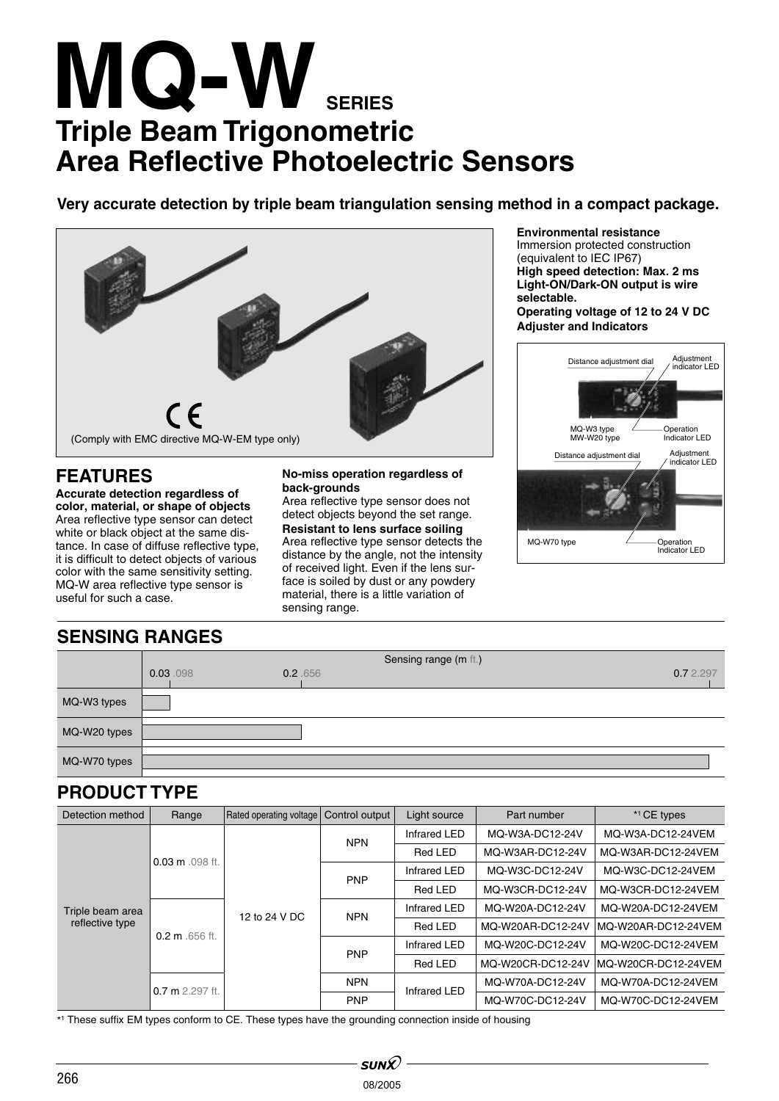# **MQ-W Triple Beam Trigonometric Area Reflective Photoelectric Sensors SERIES**

**Very accurate detection by triple beam triangulation sensing method in a compact package.**



# **FEATURES**

**Accurate detection regardless of color, material, or shape of objects** Area reflective type sensor can detect white or black object at the same distance. In case of diffuse reflective type, it is difficult to detect objects of various color with the same sensitivity setting. MQ-W area reflective type sensor is useful for such a case.

### **No-miss operation regardless of back-grounds**

Area reflective type sensor does not detect objects beyond the set range. **Resistant to lens surface soiling** Area reflective type sensor detects the distance by the angle, not the intensity of received light. Even if the lens surface is soiled by dust or any powdery material, there is a little variation of sensing range.

**Environmental resistance**

Immersion protected construction (equivalent to IEC IP67) **High speed detection: Max. 2 ms Light-ON/Dark-ON output is wire selectable.**

**Operating voltage of 12 to 24 V DC Adjuster and Indicators**



# **SENSING RANGES**

|              | Sensing range (m ft.) |         |  |           |
|--------------|-----------------------|---------|--|-----------|
|              | 0.03.098              | 0.2.656 |  | 0.7 2.297 |
| MQ-W3 types  |                       |         |  |           |
| MQ-W20 types |                       |         |  |           |
| MQ-W70 types |                       |         |  |           |

# **PRODUCT TYPE**

| Detection method                    | Range                     | Rated operating voltage | Control output | Light source | Part number       | * <sup>1</sup> CE types |
|-------------------------------------|---------------------------|-------------------------|----------------|--------------|-------------------|-------------------------|
| Triple beam area<br>reflective type | $0.03 \text{ m}$ .098 ft. | 12 to 24 V DC           | <b>NPN</b>     | Infrared LED | MQ-W3A-DC12-24V   | MQ-W3A-DC12-24VEM       |
|                                     |                           |                         |                | Red LED      | MQ-W3AR-DC12-24V  | MQ-W3AR-DC12-24VEM      |
|                                     |                           |                         | <b>PNP</b>     | Infrared LED | MQ-W3C-DC12-24V   | MQ-W3C-DC12-24VEM       |
|                                     |                           |                         |                | Red LED      | MQ-W3CR-DC12-24V  | MQ-W3CR-DC12-24VEM      |
|                                     | $0.2 \text{ m}$ .656 ft.  |                         | <b>NPN</b>     | Infrared LED | MQ-W20A-DC12-24V  | MQ-W20A-DC12-24VEM      |
|                                     |                           |                         |                | Red LED      | MQ-W20AR-DC12-24V | MQ-W20AR-DC12-24VEM     |
|                                     |                           |                         | <b>PNP</b>     | Infrared LED | MQ-W20C-DC12-24V  | MQ-W20C-DC12-24VEM      |
|                                     |                           |                         |                | Red LED      | MQ-W20CR-DC12-24V | MQ-W20CR-DC12-24VEM     |
|                                     | $0.7$ m $2.297$ ft.       |                         | <b>NPN</b>     | Infrared LED | MQ-W70A-DC12-24V  | MQ-W70A-DC12-24VEM      |
|                                     |                           |                         | <b>PNP</b>     |              | MQ-W70C-DC12-24V  | MQ-W70C-DC12-24VEM      |

\*1 These suffix EM types conform to CE. These types have the grounding connection inside of housing

SUN $\mathcal{D}% _{k}(G)$ 08/2005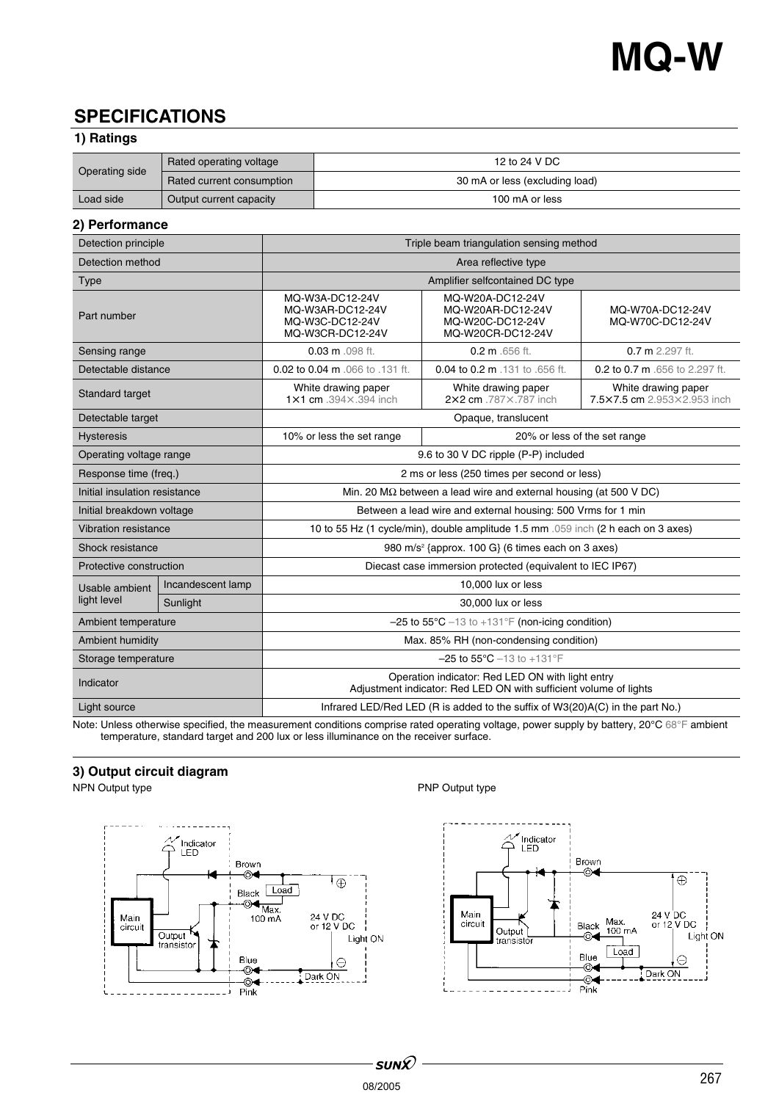# **SPECIFICATIONS**

## **1) Ratings**

| Operating side | Rated operating voltage   | 12 to 24 V DC                  |
|----------------|---------------------------|--------------------------------|
|                | Rated current consumption | 30 mA or less (excluding load) |
| Load side      | Output current capacity   | 100 mA or less                 |

## **2) Performance**

| Detection principle           |                   | Triple beam triangulation sensing method                                                                              |                                                                                |                                                    |  |
|-------------------------------|-------------------|-----------------------------------------------------------------------------------------------------------------------|--------------------------------------------------------------------------------|----------------------------------------------------|--|
| Detection method              |                   | Area reflective type                                                                                                  |                                                                                |                                                    |  |
| Type                          |                   | Amplifier selfcontained DC type                                                                                       |                                                                                |                                                    |  |
| Part number                   |                   | MQ-W3A-DC12-24V<br>MQ-W3AR-DC12-24V<br>MQ-W3C-DC12-24V<br>MQ-W3CR-DC12-24V                                            | MQ-W20A-DC12-24V<br>MQ-W20AR-DC12-24V<br>MQ-W20C-DC12-24V<br>MQ-W20CR-DC12-24V | MQ-W70A-DC12-24V<br>MQ-W70C-DC12-24V               |  |
| Sensing range                 |                   | $0.03$ m $.098$ ft.                                                                                                   | $0.2 \text{ m}$ .656 ft.                                                       | $0.7$ m $2.297$ ft.                                |  |
| Detectable distance           |                   | 0.02 to 0.04 m .066 to .131 ft.                                                                                       | 0.04 to 0.2 m .131 to .656 ft.                                                 | 0.2 to 0.7 m .656 to 2.297 ft.                     |  |
| Standard target               |                   | White drawing paper<br>1×1 cm .394×.394 inch                                                                          | White drawing paper<br>2×2 cm .787×.787 inch                                   | White drawing paper<br>7.5×7.5 cm 2.953×2.953 inch |  |
| Detectable target             |                   | Opaque, translucent                                                                                                   |                                                                                |                                                    |  |
| <b>Hysteresis</b>             |                   | 10% or less the set range                                                                                             | 20% or less of the set range                                                   |                                                    |  |
| Operating voltage range       |                   | 9.6 to 30 V DC ripple (P-P) included                                                                                  |                                                                                |                                                    |  |
| Response time (freq.)         |                   | 2 ms or less (250 times per second or less)                                                                           |                                                                                |                                                    |  |
| Initial insulation resistance |                   | Min. 20 $\text{M}\Omega$ between a lead wire and external housing (at 500 V DC)                                       |                                                                                |                                                    |  |
| Initial breakdown voltage     |                   | Between a lead wire and external housing: 500 Vrms for 1 min                                                          |                                                                                |                                                    |  |
| Vibration resistance          |                   | 10 to 55 Hz (1 cycle/min), double amplitude 1.5 mm .059 inch (2 h each on 3 axes)                                     |                                                                                |                                                    |  |
| Shock resistance              |                   | 980 m/s <sup>2</sup> {approx. 100 G} (6 times each on 3 axes)                                                         |                                                                                |                                                    |  |
| Protective construction       |                   | Diecast case immersion protected (equivalent to IEC IP67)                                                             |                                                                                |                                                    |  |
| Usable ambient<br>light level | Incandescent lamp | 10,000 lux or less                                                                                                    |                                                                                |                                                    |  |
|                               | Sunlight          | 30,000 lux or less                                                                                                    |                                                                                |                                                    |  |
| Ambient temperature           |                   | $-25$ to 55°C $-13$ to $+131$ °F (non-icing condition)                                                                |                                                                                |                                                    |  |
| Ambient humidity              |                   | Max. 85% RH (non-condensing condition)                                                                                |                                                                                |                                                    |  |
| Storage temperature           |                   | $-25$ to $55^{\circ}$ C $-13$ to $+131^{\circ}$ F                                                                     |                                                                                |                                                    |  |
| Indicator                     |                   | Operation indicator: Red LED ON with light entry<br>Adjustment indicator: Red LED ON with sufficient volume of lights |                                                                                |                                                    |  |
| Light source                  |                   | Infrared LED/Red LED (R is added to the suffix of W3(20)A(C) in the part No.)                                         |                                                                                |                                                    |  |

Note: Unless otherwise specified, the measurement conditions comprise rated operating voltage, power supply by battery, 20°C 68°F ambient temperature, standard target and 200 lux or less illuminance on the receiver surface.

# **3) Output circuit diagram**



## PNP Output type

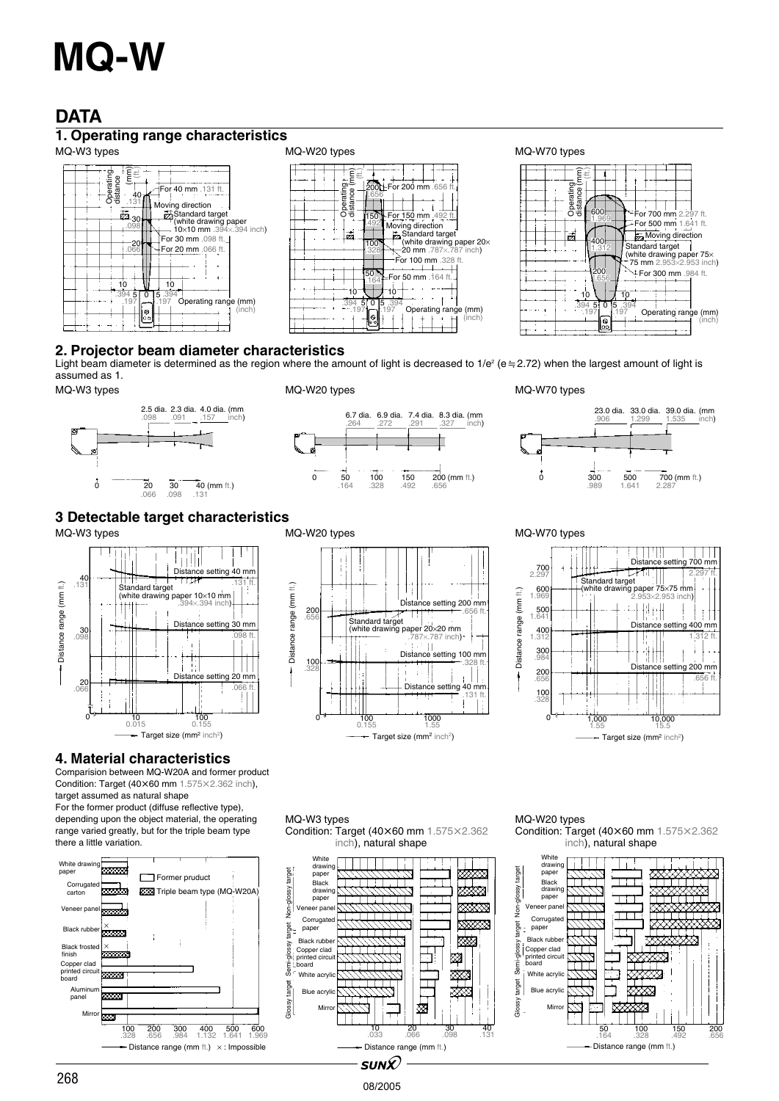# **DATA**

# **1. Operating range characteristics**







## **2. Projector beam diameter characteristics**

Light beam diameter is determined as the region where the amount of light is decreased to 1/e<sup>2</sup> (e=2.72) when the largest amount of light is assumed as 1. MQ-W3 types MQ-W20 types MQ-W70 types







## **3 Detectable target characteristics**



## **4. Material characteristics**

Comparision between MQ-W20A and former product Condition: Target (40 $\times$ 60 mm 1.575 $\times$ 2.362 inch),

target assumed as natural shape For the former product (diffuse reflective type), depending upon the object material, the operating range varied greatly, but for the triple beam type there a little variation.







### MQ-W3 types Condition: Target (40×60 mm 1.575×2.362



08/2005

### MQ-W20 types Condition: Target (40 $\times$ 60 mm 1.575 $\times$ 2.362 inch), natural shape

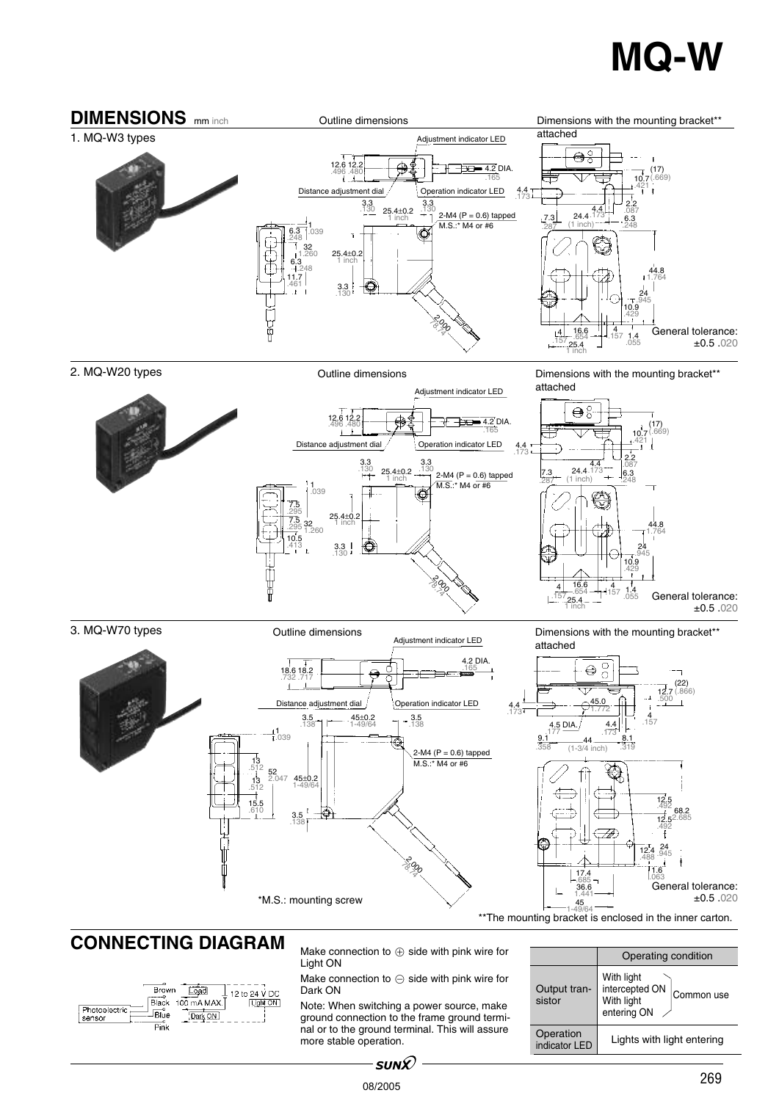

2. MQ-W20 types

3. MQ-W70 types

Outline dimensions

Dimensions with the mounting bracket\*\* attached



Outline dimensions

Adjustment indicator LED **Dimensions with the mounting bracket\*\*** attached ±0.5 .020



# **CONNECTING DIAGRAM** Make connection to  $\oplus$  side with pink wire for

| <b>Brown</b><br>Load<br>12 to 24 V DC<br>Black 100 mA MAX.<br>Light ON<br>Photoelectric<br>Blue<br>Dark ON<br>sensor<br>Pink |
|------------------------------------------------------------------------------------------------------------------------------|
|------------------------------------------------------------------------------------------------------------------------------|

Light ON

Make connection to  $\ominus$  side with pink wire for Dark ON

Note: When switching a power source, make ground connection to the frame ground terminal or to the ground terminal. This will assure more stable operation.

|                            | Operating condition                                                     |  |
|----------------------------|-------------------------------------------------------------------------|--|
| Output tran-<br>sistor     | With light<br>intercepted ON<br>Common use<br>With light<br>entering ON |  |
| Operation<br>indicator LED | Lights with light entering                                              |  |

 $\cdot$ sun $\mathcal Q$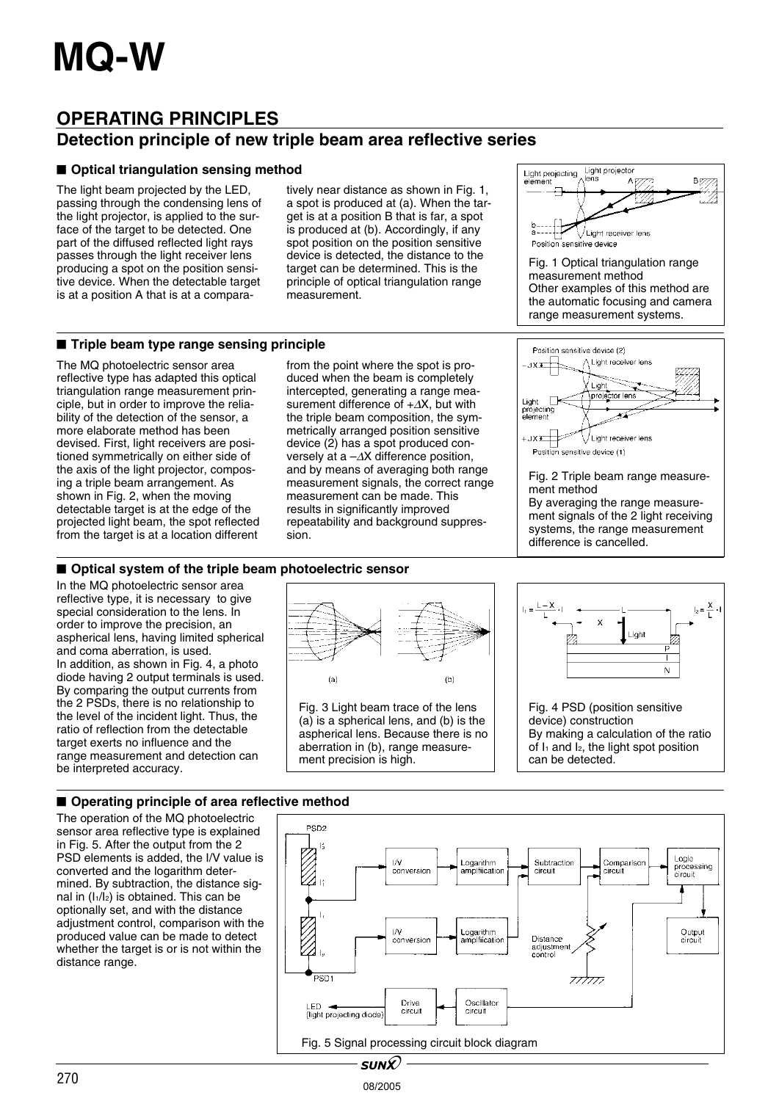# **OPERATING PRINCIPLES**

# **Detection principle of new triple beam area reflective series**

## $\blacksquare$  Optical triangulation sensing method

The light beam projected by the LED, passing through the condensing lens of the light projector, is applied to the surface of the target to be detected. One part of the diffused reflected light rays passes through the light receiver lens producing a spot on the position sensitive device. When the detectable target is at a position A that is at a compara-

tively near distance as shown in Fig. 1, a spot is produced at (a). When the target is at a position B that is far, a spot is produced at (b). Accordingly, if any spot position on the position sensitive device is detected, the distance to the target can be determined. This is the principle of optical triangulation range measurement.

## $\blacksquare$  **Triple beam type range sensing principle**

The MQ photoelectric sensor area reflective type has adapted this optical triangulation range measurement principle, but in order to improve the reliability of the detection of the sensor, a more elaborate method has been devised. First, light receivers are positioned symmetrically on either side of the axis of the light projector, composing a triple beam arrangement. As shown in Fig. 2, when the moving detectable target is at the edge of the projected light beam, the spot reflected from the target is at a location different

from the point where the spot is produced when the beam is completely intercepted, generating a range measurement difference of +∆X, but with the triple beam composition, the symmetrically arranged position sensitive device (2) has a spot produced conversely at a –∆X difference position, and by means of averaging both range measurement signals, the correct range measurement can be made. This results in significantly improved repeatability and background suppression.



Fig. 1 Optical triangulation range measurement method Other examples of this method are the automatic focusing and camera range measurement systems.



## $\blacksquare$  Optical system of the triple beam photoelectric sensor

In the MQ photoelectric sensor area reflective type, it is necessary to give special consideration to the lens. In order to improve the precision, an aspherical lens, having limited spherical and coma aberration, is used. In addition, as shown in Fig. 4, a photo diode having 2 output terminals is used. By comparing the output currents from the 2 PSDs, there is no relationship to the level of the incident light. Thus, the ratio of reflection from the detectable target exerts no influence and the range measurement and detection can be interpreted accuracy.



08/2005



## ■ Operating principle of area reflective method

The operation of the MQ photoelectric sensor area reflective type is explained in Fig. 5. After the output from the 2 PSD elements is added, the I/V value is converted and the logarithm determined. By subtraction, the distance signal in  $(I_1/I_2)$  is obtained. This can be optionally set, and with the distance adjustment control, comparison with the produced value can be made to detect whether the target is or is not within the distance range.